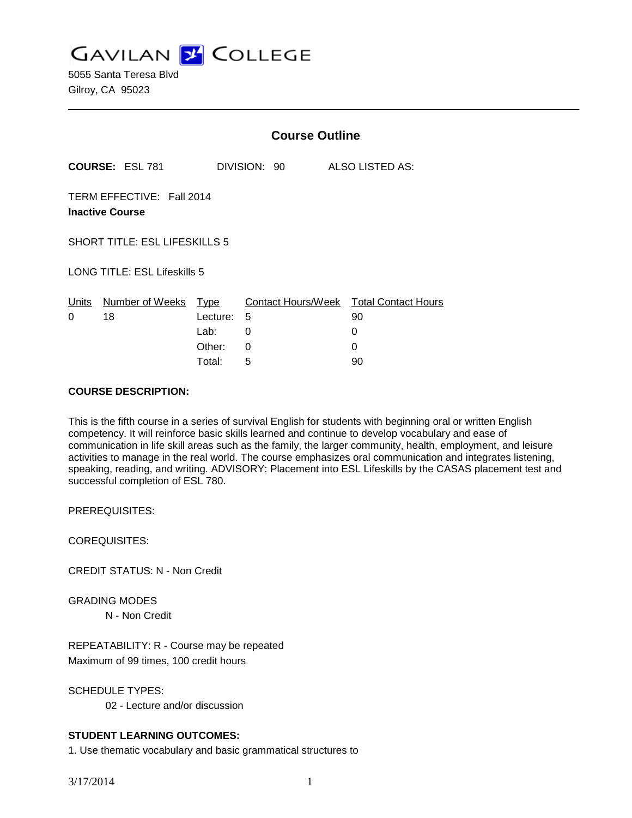**GAVILAN Z COLLEGE** 

5055 Santa Teresa Blvd Gilroy, CA 95023

|                                                     |                        | <b>Course Outline</b>    |                                                  |         |                 |  |
|-----------------------------------------------------|------------------------|--------------------------|--------------------------------------------------|---------|-----------------|--|
|                                                     | <b>COURSE: ESL 781</b> |                          | DIVISION: 90                                     |         | ALSO LISTED AS: |  |
| TERM EFFECTIVE: Fall 2014<br><b>Inactive Course</b> |                        |                          |                                                  |         |                 |  |
| <b>SHORT TITLE: ESL LIFESKILLS 5</b>                |                        |                          |                                                  |         |                 |  |
| <b>LONG TITLE: ESL Lifeskills 5</b>                 |                        |                          |                                                  |         |                 |  |
| Units<br>0                                          | Number of Weeks<br>18  | Type<br>Lecture:<br>Lab: | Contact Hours/Week Total Contact Hours<br>5<br>0 | 90<br>0 |                 |  |
|                                                     |                        | Other:<br>Total:         | 0<br>5                                           | 0<br>90 |                 |  |
|                                                     |                        |                          |                                                  |         |                 |  |

#### **COURSE DESCRIPTION:**

This is the fifth course in a series of survival English for students with beginning oral or written English competency. It will reinforce basic skills learned and continue to develop vocabulary and ease of communication in life skill areas such as the family, the larger community, health, employment, and leisure activities to manage in the real world. The course emphasizes oral communication and integrates listening, speaking, reading, and writing. ADVISORY: Placement into ESL Lifeskills by the CASAS placement test and successful completion of ESL 780.

PREREQUISITES:

COREQUISITES:

CREDIT STATUS: N - Non Credit

GRADING MODES

N - Non Credit

REPEATABILITY: R - Course may be repeated Maximum of 99 times, 100 credit hours

SCHEDULE TYPES:

02 - Lecture and/or discussion

# **STUDENT LEARNING OUTCOMES:**

1. Use thematic vocabulary and basic grammatical structures to

3/17/2014 1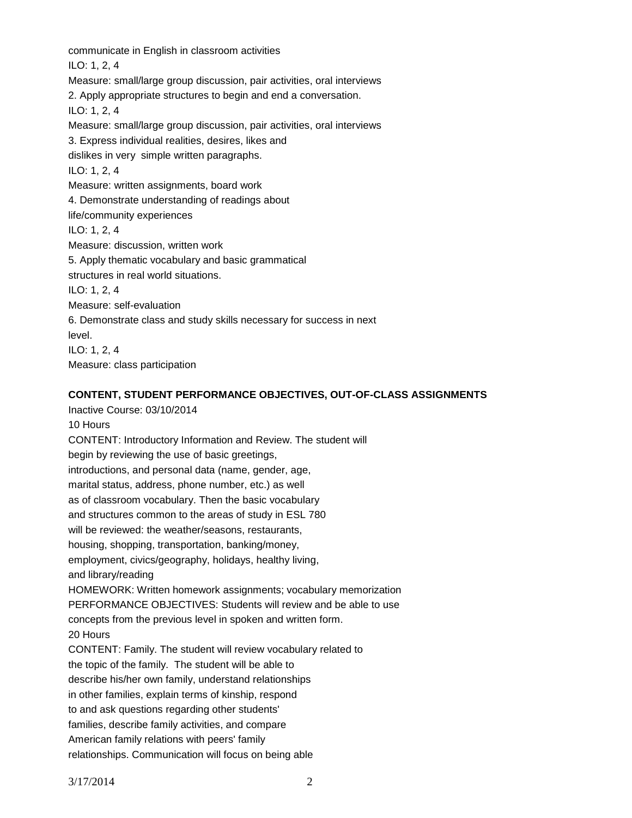communicate in English in classroom activities ILO: 1, 2, 4 Measure: small/large group discussion, pair activities, oral interviews 2. Apply appropriate structures to begin and end a conversation. ILO: 1, 2, 4 Measure: small/large group discussion, pair activities, oral interviews 3. Express individual realities, desires, likes and dislikes in very simple written paragraphs. ILO: 1, 2, 4 Measure: written assignments, board work 4. Demonstrate understanding of readings about life/community experiences ILO: 1, 2, 4 Measure: discussion, written work 5. Apply thematic vocabulary and basic grammatical structures in real world situations. ILO: 1, 2, 4 Measure: self-evaluation 6. Demonstrate class and study skills necessary for success in next level. ILO: 1, 2, 4 Measure: class participation

## **CONTENT, STUDENT PERFORMANCE OBJECTIVES, OUT-OF-CLASS ASSIGNMENTS**

Inactive Course: 03/10/2014 10 Hours CONTENT: Introductory Information and Review. The student will begin by reviewing the use of basic greetings, introductions, and personal data (name, gender, age, marital status, address, phone number, etc.) as well as of classroom vocabulary. Then the basic vocabulary and structures common to the areas of study in ESL 780 will be reviewed: the weather/seasons, restaurants, housing, shopping, transportation, banking/money, employment, civics/geography, holidays, healthy living, and library/reading HOMEWORK: Written homework assignments; vocabulary memorization PERFORMANCE OBJECTIVES: Students will review and be able to use concepts from the previous level in spoken and written form. 20 Hours CONTENT: Family. The student will review vocabulary related to the topic of the family. The student will be able to describe his/her own family, understand relationships in other families, explain terms of kinship, respond to and ask questions regarding other students' families, describe family activities, and compare American family relations with peers' family relationships. Communication will focus on being able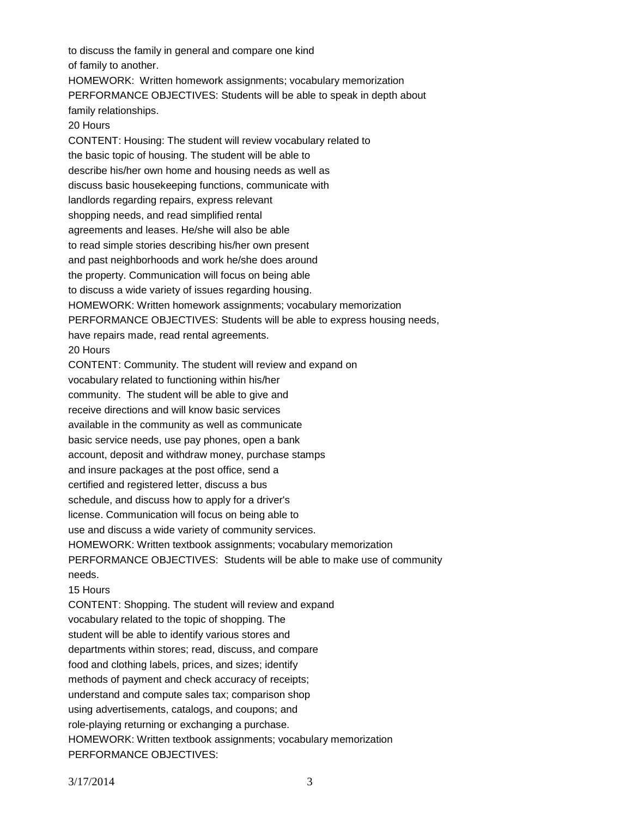to discuss the family in general and compare one kind of family to another. HOMEWORK: Written homework assignments; vocabulary memorization PERFORMANCE OBJECTIVES: Students will be able to speak in depth about family relationships. 20 Hours CONTENT: Housing: The student will review vocabulary related to the basic topic of housing. The student will be able to describe his/her own home and housing needs as well as discuss basic housekeeping functions, communicate with landlords regarding repairs, express relevant shopping needs, and read simplified rental agreements and leases. He/she will also be able to read simple stories describing his/her own present and past neighborhoods and work he/she does around the property. Communication will focus on being able to discuss a wide variety of issues regarding housing. HOMEWORK: Written homework assignments; vocabulary memorization PERFORMANCE OBJECTIVES: Students will be able to express housing needs, have repairs made, read rental agreements. 20 Hours CONTENT: Community. The student will review and expand on vocabulary related to functioning within his/her community. The student will be able to give and receive directions and will know basic services available in the community as well as communicate basic service needs, use pay phones, open a bank account, deposit and withdraw money, purchase stamps and insure packages at the post office, send a certified and registered letter, discuss a bus schedule, and discuss how to apply for a driver's license. Communication will focus on being able to use and discuss a wide variety of community services. HOMEWORK: Written textbook assignments; vocabulary memorization PERFORMANCE OBJECTIVES: Students will be able to make use of community needs. 15 Hours CONTENT: Shopping. The student will review and expand vocabulary related to the topic of shopping. The student will be able to identify various stores and departments within stores; read, discuss, and compare food and clothing labels, prices, and sizes; identify methods of payment and check accuracy of receipts; understand and compute sales tax; comparison shop using advertisements, catalogs, and coupons; and role-playing returning or exchanging a purchase. HOMEWORK: Written textbook assignments; vocabulary memorization PERFORMANCE OBJECTIVES: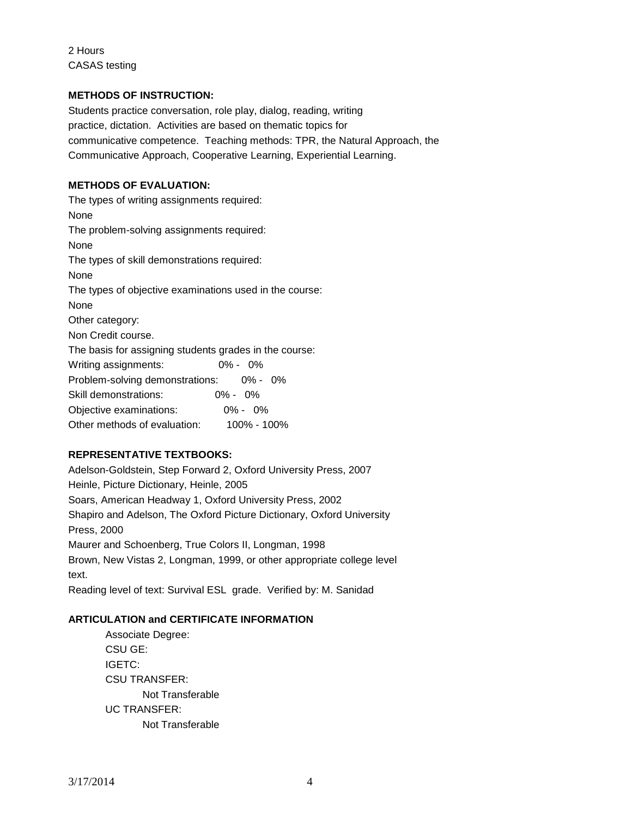2 Hours CASAS testing

#### **METHODS OF INSTRUCTION:**

Students practice conversation, role play, dialog, reading, writing practice, dictation. Activities are based on thematic topics for communicative competence. Teaching methods: TPR, the Natural Approach, the Communicative Approach, Cooperative Learning, Experiential Learning.

## **METHODS OF EVALUATION:**

The types of writing assignments required: None The problem-solving assignments required: None The types of skill demonstrations required: None The types of objective examinations used in the course: None Other category: Non Credit course. The basis for assigning students grades in the course: Writing assignments: 0% - 0% Problem-solving demonstrations: 0% - 0% Skill demonstrations: 0% - 0% Objective examinations: 0% - 0% Other methods of evaluation: 100% - 100%

## **REPRESENTATIVE TEXTBOOKS:**

Adelson-Goldstein, Step Forward 2, Oxford University Press, 2007 Heinle, Picture Dictionary, Heinle, 2005 Soars, American Headway 1, Oxford University Press, 2002 Shapiro and Adelson, The Oxford Picture Dictionary, Oxford University Press, 2000 Maurer and Schoenberg, True Colors II, Longman, 1998 Brown, New Vistas 2, Longman, 1999, or other appropriate college level text. Reading level of text: Survival ESL grade. Verified by: M. Sanidad

## **ARTICULATION and CERTIFICATE INFORMATION**

Associate Degree: CSU GE: IGETC: CSU TRANSFER: Not Transferable UC TRANSFER: Not Transferable